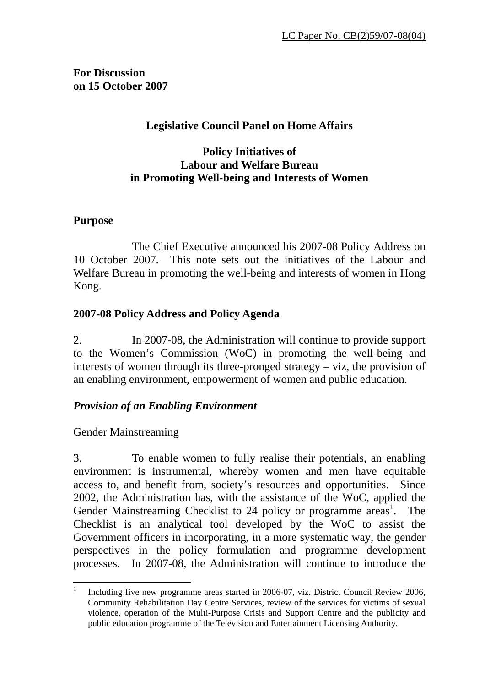**For Discussion on 15 October 2007** 

# **Legislative Council Panel on Home Affairs**

#### **Policy Initiatives of Labour and Welfare Bureau in Promoting Well-being and Interests of Women**

#### **Purpose**

 The Chief Executive announced his 2007-08 Policy Address on 10 October 2007. This note sets out the initiatives of the Labour and Welfare Bureau in promoting the well-being and interests of women in Hong Kong.

# **2007-08 Policy Address and Policy Agenda**

2. In 2007-08, the Administration will continue to provide support to the Women's Commission (WoC) in promoting the well-being and interests of women through its three-pronged strategy – viz, the provision of an enabling environment, empowerment of women and public education.

# *Provision of an Enabling Environment*

# Gender Mainstreaming

3. To enable women to fully realise their potentials, an enabling environment is instrumental, whereby women and men have equitable access to, and benefit from, society's resources and opportunities. Since 2002, the Administration has, with the assistance of the WoC, applied the Gender Mainstreaming Checklist to 24 policy or programme areas<sup>1</sup>. The Checklist is an analytical tool developed by the WoC to assist the Government officers in incorporating, in a more systematic way, the gender perspectives in the policy formulation and programme development processes. In 2007-08, the Administration will continue to introduce the

 $\frac{1}{1}$  Including five new programme areas started in 2006-07, viz. District Council Review 2006, Community Rehabilitation Day Centre Services, review of the services for victims of sexual violence, operation of the Multi-Purpose Crisis and Support Centre and the publicity and public education programme of the Television and Entertainment Licensing Authority.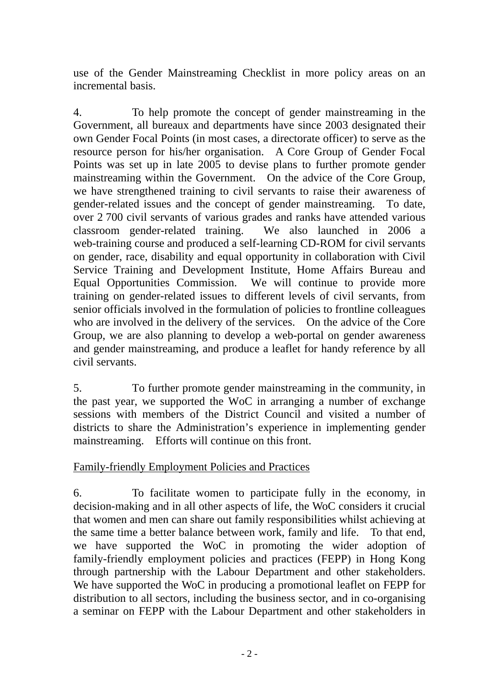use of the Gender Mainstreaming Checklist in more policy areas on an incremental basis.

4. To help promote the concept of gender mainstreaming in the Government, all bureaux and departments have since 2003 designated their own Gender Focal Points (in most cases, a directorate officer) to serve as the resource person for his/her organisation. A Core Group of Gender Focal Points was set up in late 2005 to devise plans to further promote gender mainstreaming within the Government. On the advice of the Core Group, we have strengthened training to civil servants to raise their awareness of gender-related issues and the concept of gender mainstreaming. To date, over 2 700 civil servants of various grades and ranks have attended various classroom gender-related training. We also launched in 2006 a web-training course and produced a self-learning CD-ROM for civil servants on gender, race, disability and equal opportunity in collaboration with Civil Service Training and Development Institute, Home Affairs Bureau and Equal Opportunities Commission. We will continue to provide more training on gender-related issues to different levels of civil servants, from senior officials involved in the formulation of policies to frontline colleagues who are involved in the delivery of the services. On the advice of the Core Group, we are also planning to develop a web-portal on gender awareness and gender mainstreaming, and produce a leaflet for handy reference by all civil servants.

5. To further promote gender mainstreaming in the community, in the past year, we supported the WoC in arranging a number of exchange sessions with members of the District Council and visited a number of districts to share the Administration's experience in implementing gender mainstreaming. Efforts will continue on this front.

# Family-friendly Employment Policies and Practices

6. To facilitate women to participate fully in the economy, in decision-making and in all other aspects of life, the WoC considers it crucial that women and men can share out family responsibilities whilst achieving at the same time a better balance between work, family and life. To that end, we have supported the WoC in promoting the wider adoption of family-friendly employment policies and practices (FEPP) in Hong Kong through partnership with the Labour Department and other stakeholders. We have supported the WoC in producing a promotional leaflet on FEPP for distribution to all sectors, including the business sector, and in co-organising a seminar on FEPP with the Labour Department and other stakeholders in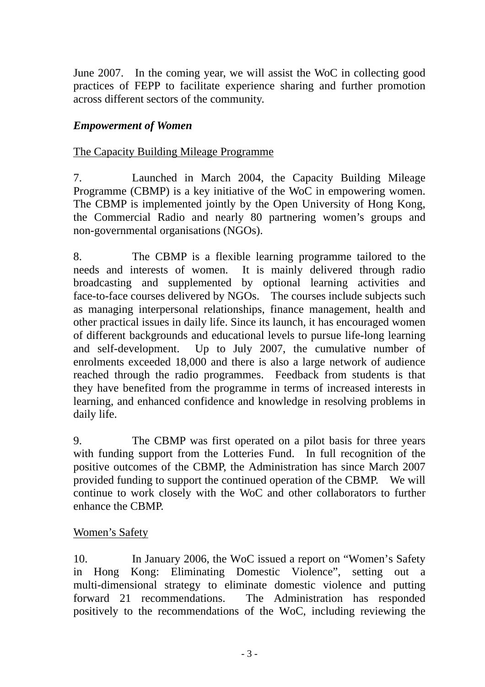June 2007. In the coming year, we will assist the WoC in collecting good practices of FEPP to facilitate experience sharing and further promotion across different sectors of the community.

#### *Empowerment of Women*

#### The Capacity Building Mileage Programme

7. Launched in March 2004, the Capacity Building Mileage Programme (CBMP) is a key initiative of the WoC in empowering women. The CBMP is implemented jointly by the Open University of Hong Kong, the Commercial Radio and nearly 80 partnering women's groups and non-governmental organisations (NGOs).

8. The CBMP is a flexible learning programme tailored to the needs and interests of women. It is mainly delivered through radio broadcasting and supplemented by optional learning activities and face-to-face courses delivered by NGOs. The courses include subjects such as managing interpersonal relationships, finance management, health and other practical issues in daily life. Since its launch, it has encouraged women of different backgrounds and educational levels to pursue life-long learning and self-development. Up to July 2007, the cumulative number of enrolments exceeded 18,000 and there is also a large network of audience reached through the radio programmes. Feedback from students is that they have benefited from the programme in terms of increased interests in learning, and enhanced confidence and knowledge in resolving problems in daily life.

9. The CBMP was first operated on a pilot basis for three years with funding support from the Lotteries Fund. In full recognition of the positive outcomes of the CBMP, the Administration has since March 2007 provided funding to support the continued operation of the CBMP. We will continue to work closely with the WoC and other collaborators to further enhance the CBMP.

#### Women's Safety

10. In January 2006, the WoC issued a report on "Women's Safety in Hong Kong: Eliminating Domestic Violence", setting out a multi-dimensional strategy to eliminate domestic violence and putting forward 21 recommendations. The Administration has responded positively to the recommendations of the WoC, including reviewing the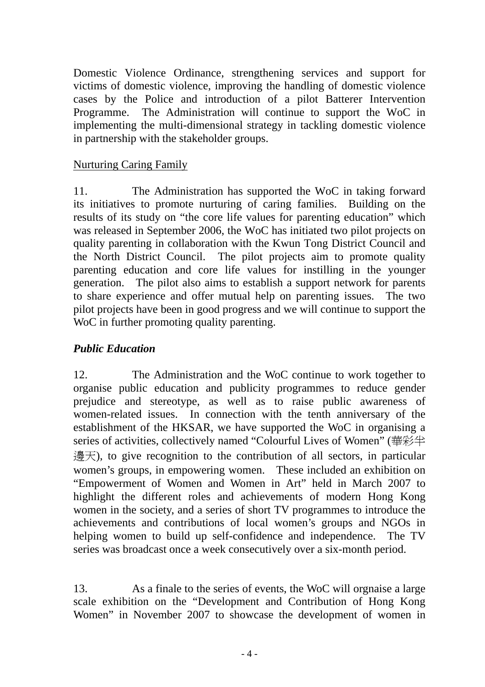Domestic Violence Ordinance, strengthening services and support for victims of domestic violence, improving the handling of domestic violence cases by the Police and introduction of a pilot Batterer Intervention Programme. The Administration will continue to support the WoC in implementing the multi-dimensional strategy in tackling domestic violence in partnership with the stakeholder groups.

# Nurturing Caring Family

11. The Administration has supported the WoC in taking forward its initiatives to promote nurturing of caring families. Building on the results of its study on "the core life values for parenting education" which was released in September 2006, the WoC has initiated two pilot projects on quality parenting in collaboration with the Kwun Tong District Council and the North District Council. The pilot projects aim to promote quality parenting education and core life values for instilling in the younger generation. The pilot also aims to establish a support network for parents to share experience and offer mutual help on parenting issues. The two pilot projects have been in good progress and we will continue to support the WoC in further promoting quality parenting.

# *Public Education*

12. The Administration and the WoC continue to work together to organise public education and publicity programmes to reduce gender prejudice and stereotype, as well as to raise public awareness of women-related issues. In connection with the tenth anniversary of the establishment of the HKSAR, we have supported the WoC in organising a series of activities, collectively named "Colourful Lives of Women" (華彩半  $\frac{11}{10}$   $\frac{11}{10}$  to give recognition to the contribution of all sectors, in particular women's groups, in empowering women. These included an exhibition on "Empowerment of Women and Women in Art" held in March 2007 to highlight the different roles and achievements of modern Hong Kong women in the society, and a series of short TV programmes to introduce the achievements and contributions of local women's groups and NGOs in helping women to build up self-confidence and independence. The TV series was broadcast once a week consecutively over a six-month period.

13. As a finale to the series of events, the WoC will orgnaise a large scale exhibition on the "Development and Contribution of Hong Kong Women" in November 2007 to showcase the development of women in